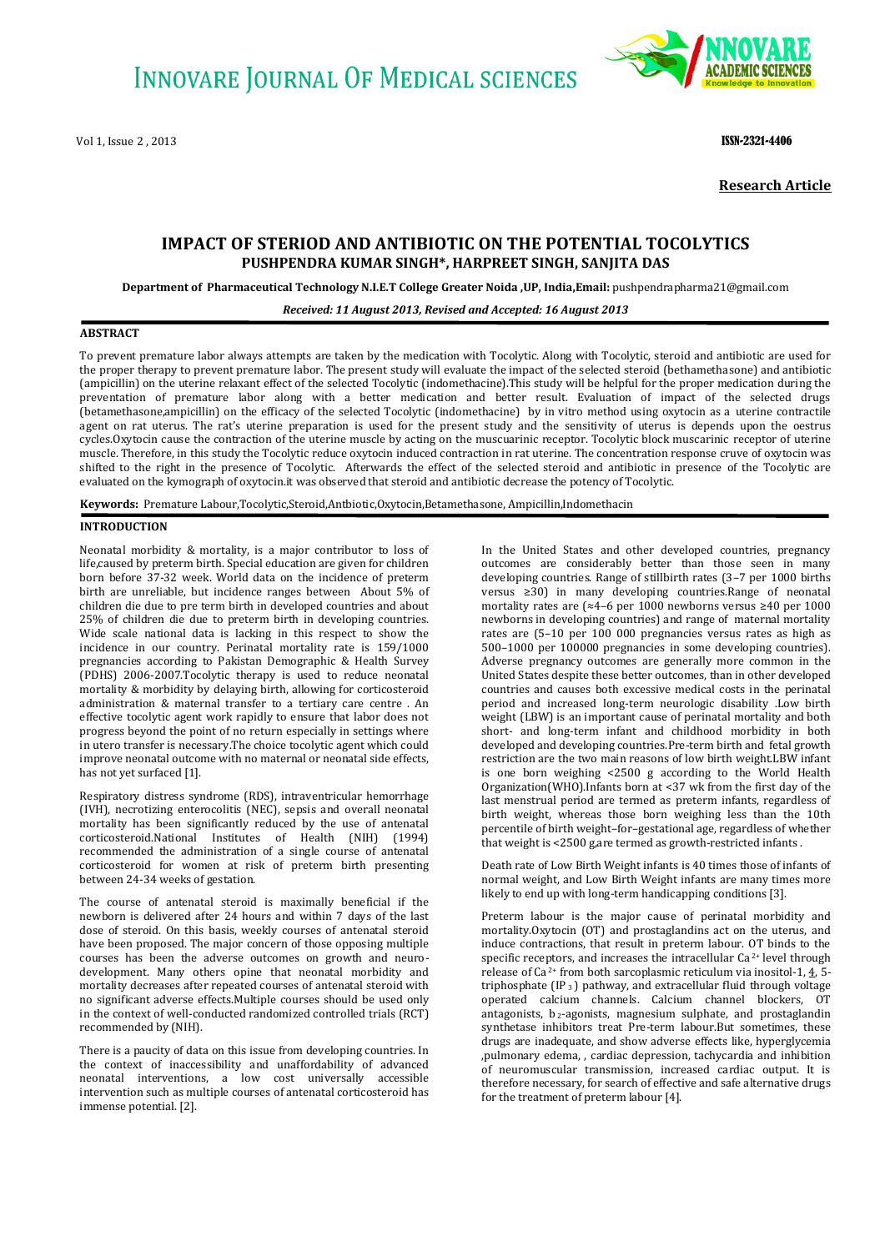Vol 1, Issue 2 , 2013 **ISSN-2321-4406 ISSN-2321-4406** 



**Research Article**

# **IMPACT OF STERIOD AND ANTIBIOTIC ON THE POTENTIAL TOCOLYTICS PUSHPENDRA KUMAR SINGH\*, HARPREET SINGH, SANJITA DAS**

**Department of Pharmaceutical Technology N.I.E.T College Greater Noida ,UP, India,Email:** pushpendrapharma21@gmail.com

#### *Received: 11 August 2013, Revised and Accepted: 16 August 2013*

## **ABSTRACT**

To prevent premature labor always attempts are taken by the medication with Tocolytic. Along with Tocolytic, steroid and antibiotic are used for the proper therapy to prevent premature labor. The present study will evaluate the impact of the selected steroid (bethamethasone) and antibiotic (ampicillin) on the uterine relaxant effect of the selected Tocolytic (indomethacine).This study will be helpful for the proper medication during the preventation of premature labor along with a better medication and better result. Evaluation of impact of the selected drugs (betamethasone,ampicillin) on the efficacy of the selected Tocolytic (indomethacine) by in vitro method using oxytocin as a uterine contractile agent on rat uterus. The rat's uterine preparation is used for the present study and the sensitivity of uterus is depends upon the oestrus cycles.Oxytocin cause the contraction of the uterine muscle by acting on the muscuarinic receptor. Tocolytic block muscarinic receptor of uterine muscle. Therefore, in this study the Tocolytic reduce oxytocin induced contraction in rat uterine. The concentration response cruve of oxytocin was shifted to the right in the presence of Tocolytic. Afterwards the effect of the selected steroid and antibiotic in presence of the Tocolytic are evaluated on the kymograph of oxytocin.it was observed that steroid and antibiotic decrease the potency of Tocolytic.

**Keywords:** Premature Labour,Tocolytic,Steroid,Antbiotic,Oxytocin,Betamethasone, Ampicillin,Indomethacin

#### **INTRODUCTION**

Neonatal morbidity & mortality, is a major contributor to loss of life,caused by preterm birth. Special education are given for children born before 37-32 week. World data on the incidence of preterm birth are unreliable, but incidence ranges between About 5% of children die due to pre term birth in developed countries and about 25% of children die due to preterm birth in developing countries. Wide scale national data is lacking in this respect to show the incidence in our country. Perinatal mortality rate is 159/1000 pregnancies according to Pakistan Demographic & Health Survey (PDHS) 2006-2007.Tocolytic therapy is used to reduce neonatal mortality & morbidity by delaying birth, allowing for corticosteroid administration & maternal transfer to a tertiary care centre . An effective tocolytic agent work rapidly to ensure that labor does not progress beyond the point of no return especially in settings where in utero transfer is necessary.The choice tocolytic agent which could improve neonatal outcome with no maternal or neonatal side effects, has not yet surfaced [1].

Respiratory distress syndrome (RDS), intraventricular hemorrhage (IVH), necrotizing enterocolitis (NEC), sepsis and overall neonatal mortality has been significantly reduced by the use of antenatal corticosteroid.National Institutes of Health (NIH) (1994) recommended the administration of a single course of antenatal corticosteroid for women at risk of preterm birth presenting between 24-34 weeks of gestation.

The course of antenatal steroid is maximally beneficial if the newborn is delivered after 24 hours and within 7 days of the last dose of steroid. On this basis, weekly courses of antenatal steroid have been proposed. The major concern of those opposing multiple courses has been the adverse outcomes on growth and neurodevelopment. Many others opine that neonatal morbidity and mortality decreases after repeated courses of antenatal steroid with no significant adverse effects.Multiple courses should be used only in the context of well-conducted randomized controlled trials (RCT) recommended by (NIH).

There is a paucity of data on this issue from developing countries. In the context of inaccessibility and unaffordability of advanced neonatal interventions, a low cost universally accessible intervention such as multiple courses of antenatal corticosteroid has immense potential. [2].

In the United States and other developed countries, pregnancy outcomes are considerably better than those seen in many developing countries. Range of stillbirth rates (3–7 per 1000 births versus ≥30) in many developing countries.Range of neonatal mortality rates are (≈4–6 per 1000 newborns versus ≥40 per 1000 newborns in developing countries) and range of maternal mortality rates are (5–10 per 100 000 pregnancies versus rates as high as 500–1000 per 100000 pregnancies in some developing countries). Adverse pregnancy outcomes are generally more common in the United States despite these better outcomes, than in other developed countries and causes both excessive medical costs in the perinatal period and increased long-term neurologic disability .Low birth weight (LBW) is an important cause of perinatal mortality and both short- and long-term infant and childhood morbidity in both developed and developing countries.Pre-term birth and fetal growth restriction are the two main reasons of low birth weight.LBW infant is one born weighing <2500 g according to the World Health Organization(WHO).Infants born at <37 wk from the first day of the last menstrual period are termed as preterm infants, regardless of birth weight, whereas those born weighing less than the 10th percentile of birth weight–for–gestational age, regardless of whether that weight is <2500 g,are termed as growth-restricted infants .

Death rate of Low Birth Weight infants is 40 times those of infants of normal weight, and Low Birth Weight infants are many times more likely to end up with long-term handicapping conditions [3].

Preterm labour is the major cause of perinatal morbidity and mortality.Oxytocin (OT) and prostaglandins act on the uterus, and induce contractions, that result in preterm labour. OT binds to the specific receptors, and increases the intracellular Ca<sup>2+</sup> level through release of Ca 2+ from both sarcoplasmic reticulum via inositol-1, [4,](http://www.ijpsonline.com/article.asp?issn=0250-474X;year=2006;volume=68;issue=2;spage=190;epage=194;aulast=Kumar#ref4) 5 triphosphate  $[IP_3]$  pathway, and extracellular fluid through voltage operated calcium channels. Calcium channel blockers, OT antagonists,  $b_2$ -agonists, magnesium sulphate, and prostaglandin synthetase inhibitors treat Pre-term labour.But sometimes, these drugs are inadequate, and show adverse effects like, hyperglycemia ,pulmonary edema, , cardiac depression, tachycardia and inhibition of neuromuscular transmission, increased cardiac output. It is therefore necessary, for search of effective and safe alternative drugs for the treatment of preterm labour [4].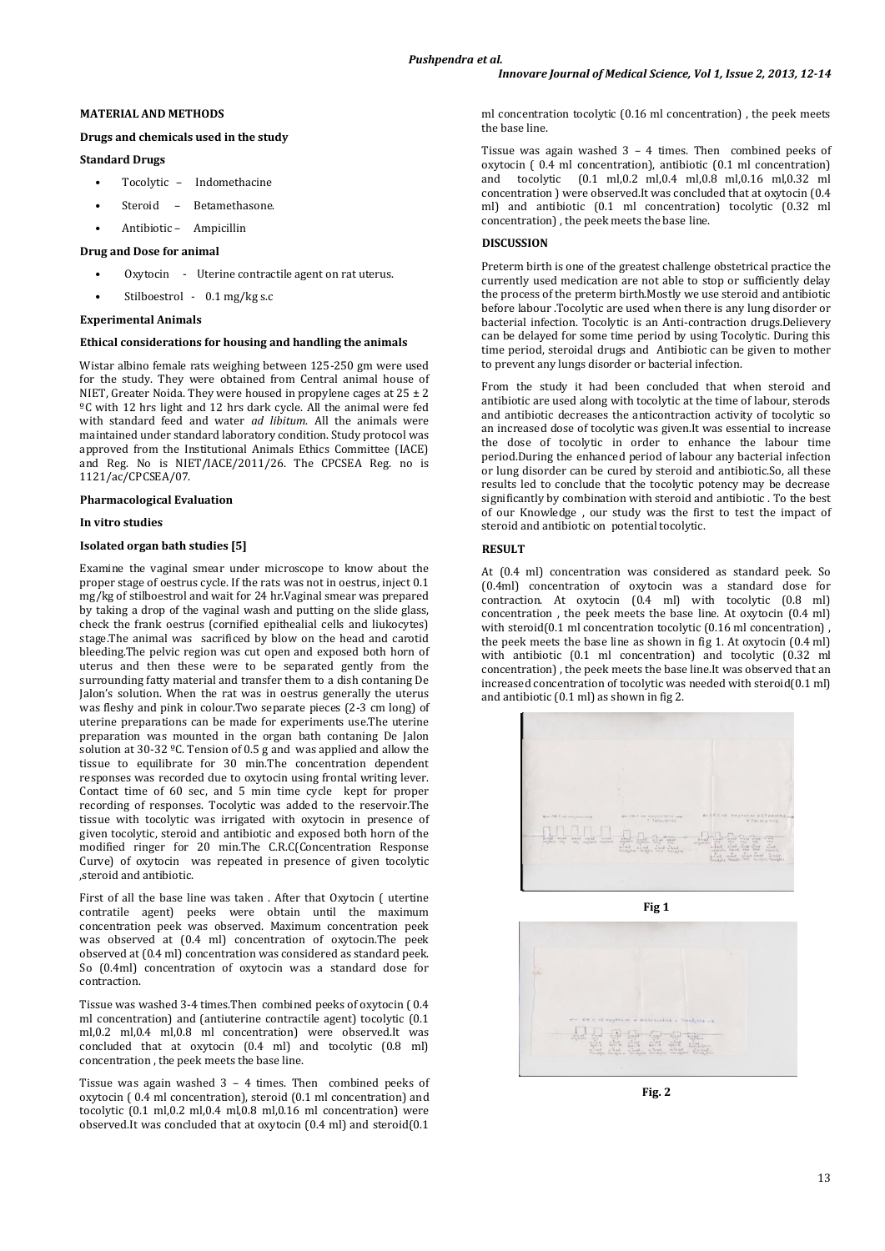## **MATERIAL AND METHODS**

## **Drugs and chemicals used in the study**

### **Standard Drugs**

- Tocolytic Indomethacine
- Steroid Betamethasone.
- Antibiotic Ampicillin

## **Drug and Dose for animal**

- Oxytocin Uterine contractile agent on rat uterus.
- Stilboestrol 0.1 mg/kg s.c

#### **Experimental Animals**

#### **Ethical considerations for housing and handling the animals**

Wistar albino female rats weighing between 125-250 gm were used for the study. They were obtained from Central animal house of NIET, Greater Noida. They were housed in propylene cages at 25 ± 2 ºC with 12 hrs light and 12 hrs dark cycle. All the animal were fed with standard feed and water *ad libitum*. All the animals were maintained under standard laboratory condition. Study protocol was approved from the Institutional Animals Ethics Committee (IACE) and Reg. No is NIET/IACE/2011/26. The CPCSEA Reg. no is 1121/ac/CPCSEA/07.

#### **Pharmacological Evaluation**

#### **In vitro studies**

### **Isolated organ bath studies [5]**

Examine the vaginal smear under microscope to know about the proper stage of oestrus cycle. If the rats was not in oestrus, inject 0.1 mg/kg of stilboestrol and wait for 24 hr.Vaginal smear was prepared by taking a drop of the vaginal wash and putting on the slide glass, check the frank oestrus (cornified epithealial cells and liukocytes) stage.The animal was sacrificed by blow on the head and carotid bleeding.The pelvic region was cut open and exposed both horn of uterus and then these were to be separated gently from the surrounding fatty material and transfer them to a dish contaning De Jalon's solution. When the rat was in oestrus generally the uterus was fleshy and pink in colour.Two separate pieces (2-3 cm long) of uterine preparations can be made for experiments use.The uterine preparation was mounted in the organ bath contaning De Jalon solution at 30-32 ºC. Tension of 0.5 g and was applied and allow the tissue to equilibrate for 30 min.The concentration dependent responses was recorded due to oxytocin using frontal writing lever. Contact time of 60 sec, and 5 min time cycle kept for proper recording of responses. Tocolytic was added to the reservoir.The tissue with tocolytic was irrigated with oxytocin in presence of given tocolytic, steroid and antibiotic and exposed both horn of the modified ringer for 20 min.The C.R.C(Concentration Response Curve) of oxytocin was repeated in presence of given tocolytic ,steroid and antibiotic.

First of all the base line was taken . After that Oxytocin ( utertine contratile agent) peeks were obtain until the maximum concentration peek was observed. Maximum concentration peek was observed at (0.4 ml) concentration of oxytocin.The peek observed at (0.4 ml) concentration was considered as standard peek. So (0.4ml) concentration of oxytocin was a standard dose for contraction.

Tissue was washed 3-4 times.Then combined peeks of oxytocin ( 0.4 ml concentration) and (antiuterine contractile agent) tocolytic (0.1 ml,0.2 ml,0.4 ml,0.8 ml concentration) were observed.It was concluded that at oxytocin (0.4 ml) and tocolytic (0.8 ml) concentration , the peek meets the base line.

Tissue was again washed 3 – 4 times. Then combined peeks of oxytocin ( 0.4 ml concentration), steroid (0.1 ml concentration) and tocolytic (0.1 ml,0.2 ml,0.4 ml,0.8 ml,0.16 ml concentration) were observed.It was concluded that at oxytocin (0.4 ml) and steroid(0.1

ml concentration tocolytic (0.16 ml concentration) , the peek meets the base line.

Tissue was again washed 3 – 4 times. Then combined peeks of oxytocin ( 0.4 ml concentration), antibiotic (0.1 ml concentration) and tocolytic (0.1 ml,0.2 ml,0.4 ml,0.8 ml,0.16 ml,0.32 ml concentration ) were observed.It was concluded that at oxytocin (0.4 ml) and antibiotic (0.1 ml concentration) tocolytic (0.32 ml concentration) , the peek meets the base line.

## **DISCUSSION**

Preterm birth is one of the greatest challenge obstetrical practice the currently used medication are not able to stop or sufficiently delay the process of the preterm birth.Mostly we use steroid and antibiotic before labour .Tocolytic are used when there is any lung disorder or bacterial infection. Tocolytic is an Anti-contraction drugs.Delievery can be delayed for some time period by using Tocolytic. During this time period, steroidal drugs and Antibiotic can be given to mother to prevent any lungs disorder or bacterial infection.

From the study it had been concluded that when steroid and antibiotic are used along with tocolytic at the time of labour, sterods and antibiotic decreases the anticontraction activity of tocolytic so an increased dose of tocolytic was given.It was essential to increase the dose of tocolytic in order to enhance the labour time period.During the enhanced period of labour any bacterial infection or lung disorder can be cured by steroid and antibiotic.So, all these results led to conclude that the tocolytic potency may be decrease significantly by combination with steroid and antibiotic . To the best of our Knowledge , our study was the first to test the impact of steroid and antibiotic on potential tocolytic.

## **RESULT**

At (0.4 ml) concentration was considered as standard peek. So (0.4ml) concentration of oxytocin was a standard dose for contraction. At oxytocin (0.4 ml) with tocolytic (0.8 ml) concentration , the peek meets the base line. At oxytocin (0.4 ml) with steroid(0.1 ml concentration tocolytic (0.16 ml concentration), the peek meets the base line as shown in fig 1. At oxytocin (0.4 ml) with antibiotic (0.1 ml concentration) and tocolytic (0.32 ml concentration) , the peek meets the base line.It was observed that an increased concentration of tocolytic was needed with steroid(0.1 ml) and antibiotic (0.1 ml) as shown in fig 2.







**Fig. 2**